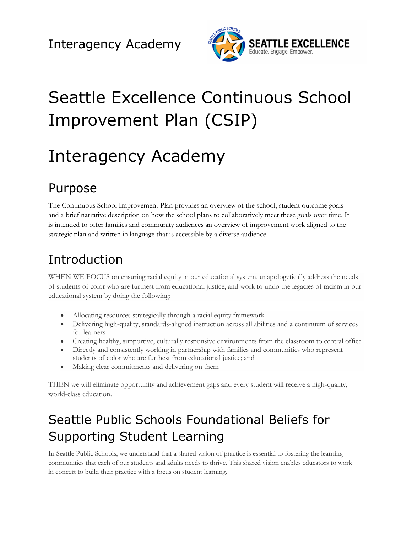

# Seattle Excellence Continuous School Improvement Plan (CSIP)

# Interagency Academy

## Purpose

The Continuous School Improvement Plan provides an overview of the school, student outcome goals and a brief narrative description on how the school plans to collaboratively meet these goals over time. It is intended to offer families and community audiences an overview of improvement work aligned to the strategic plan and written in language that is accessible by a diverse audience.

# Introduction

WHEN WE FOCUS on ensuring racial equity in our educational system, unapologetically address the needs of students of color who are furthest from educational justice, and work to undo the legacies of racism in our educational system by doing the following:

- Allocating resources strategically through a racial equity framework
- Delivering high-quality, standards-aligned instruction across all abilities and a continuum of services for learners
- Creating healthy, supportive, culturally responsive environments from the classroom to central office
- Directly and consistently working in partnership with families and communities who represent students of color who are furthest from educational justice; and
- Making clear commitments and delivering on them

THEN we will eliminate opportunity and achievement gaps and every student will receive a high-quality, world-class education.

# Seattle Public Schools Foundational Beliefs for Supporting Student Learning

In Seattle Public Schools, we understand that a shared vision of practice is essential to fostering the learning communities that each of our students and adults needs to thrive. This shared vision enables educators to work in concert to build their practice with a focus on student learning.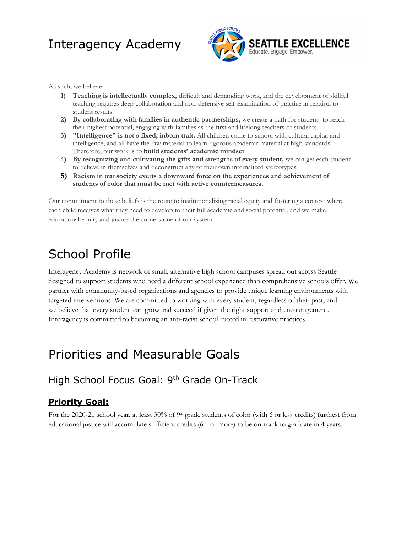

As such, we believe:

- **1) Teaching is intellectually complex,** difficult and demanding work, and the development of skillful teaching requires deep collaboration and non-defensive self-examination of practice in relation to student results.
- **2) By collaborating with families in authentic partnerships,** we create a path for students to reach their highest potential, engaging with families as the first and lifelong teachers of students.
- **3) "Intelligence" is not a fixed, inborn trait.** All children come to school with cultural capital and intelligence, and all have the raw material to learn rigorous academic material at high standards. Therefore, our work is to **build students' academic mindset**
- **4) By recognizing and cultivating the gifts and strengths of every student,** we can get each student to believe in themselves and deconstruct any of their own internalized stereotypes.
- **5) Racism in our society exerts a downward force on the experiences and achievement of students of color that must be met with active countermeasures.**

Our commitment to these beliefs is the route to institutionalizing racial equity and fostering a context where each child receives what they need to develop to their full academic and social potential, and we make educational equity and justice the cornerstone of our system.

### School Profile

Interagency Academy is network of small, alternative high school campuses spread out across Seattle designed to support students who need a different school experience than comprehensive schools offer. We partner with community-based organizations and agencies to provide unique learning environments with targeted interventions. We are committed to working with every student, regardless of their past, and we believe that every student can grow and succeed if given the right support and encouragement. Interagency is committed to becoming an anti-racist school rooted in restorative practices.

### Priorities and Measurable Goals

#### High School Focus Goal: 9<sup>th</sup> Grade On-Track

#### **Priority Goal:**

For the 2020-21 school year, at least 30% of 9<sup>th</sup> grade students of color (with 6 or less credits) furthest from educational justice will accumulate sufficient credits (6+ or more) to be on-track to graduate in 4 years.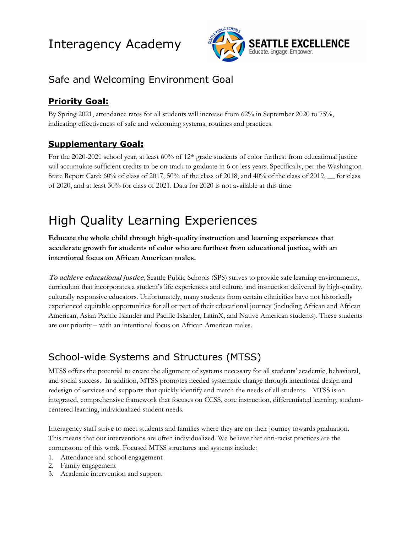

### Safe and Welcoming Environment Goal

#### **Priority Goal:**

By Spring 2021, attendance rates for all students will increase from 62% in September 2020 to 75%, indicating effectiveness of safe and welcoming systems, routines and practices.

#### **Supplementary Goal:**

For the 2020-2021 school year, at least 60% of 12<sup>th</sup> grade students of color furthest from educational justice will accumulate sufficient credits to be on track to graduate in 6 or less years. Specifically, per the Washington State Report Card: 60% of class of 2017, 50% of the class of 2018, and 40% of the class of 2019, \_\_ for class of 2020, and at least 30% for class of 2021. Data for 2020 is not available at this time.

# High Quality Learning Experiences

**Educate the whole child through high-quality instruction and learning experiences that accelerate growth for students of color who are furthest from educational justice, with an intentional focus on African American males.** 

**To achieve educational justice**, Seattle Public Schools (SPS) strives to provide safe learning environments, curriculum that incorporates a student's life experiences and culture, and instruction delivered by high-quality, culturally responsive educators. Unfortunately, many students from certain ethnicities have not historically experienced equitable opportunities for all or part of their educational journey (including African and African American, Asian Pacific Islander and Pacific Islander, LatinX, and Native American students). These students are our priority – with an intentional focus on African American males.

### School-wide Systems and Structures (MTSS)

MTSS offers the potential to create the alignment of systems necessary for all students' academic, behavioral, and social success. In addition, MTSS promotes needed systematic change through intentional design and redesign of services and supports that quickly identify and match the needs of all students. MTSS is an integrated, comprehensive framework that focuses on CCSS, core instruction, differentiated learning, studentcentered learning, individualized student needs.

Interagency staff strive to meet students and families where they are on their journey towards graduation. This means that our interventions are often individualized. We believe that anti-racist practices are the cornerstone of this work. Focused MTSS structures and systems include:

- 1. Attendance and school engagement
- 2. Family engagement
- 3. Academic intervention and support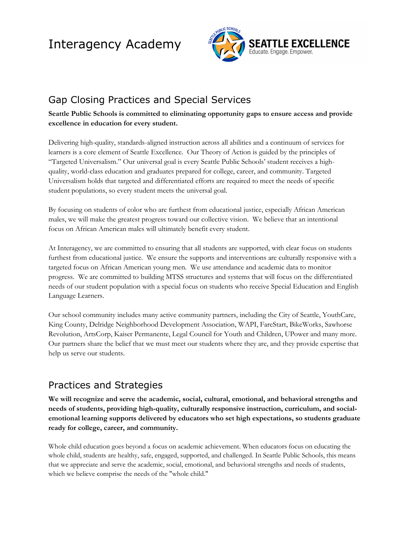

### Gap Closing Practices and Special Services

#### **Seattle Public Schools is committed to eliminating opportunity gaps to ensure access and provide excellence in education for every student.**

Delivering high-quality, standards-aligned instruction across all abilities and a continuum of services for learners is a core element of Seattle Excellence. Our Theory of Action is guided by the principles of "Targeted Universalism." Our universal goal is every Seattle Public Schools' student receives a highquality, world-class education and graduates prepared for college, career, and community. Targeted Universalism holds that targeted and differentiated efforts are required to meet the needs of specific student populations, so every student meets the universal goal.

By focusing on students of color who are furthest from educational justice, especially African American males, we will make the greatest progress toward our collective vision. We believe that an intentional focus on African American males will ultimately benefit every student.

At Interagency, we are committed to ensuring that all students are supported, with clear focus on students furthest from educational justice. We ensure the supports and interventions are culturally responsive with a targeted focus on African American young men. We use attendance and academic data to monitor progress. We are committed to building MTSS structures and systems that will focus on the differentiated needs of our student population with a special focus on students who receive Special Education and English Language Learners.

Our school community includes many active community partners, including the City of Seattle, YouthCare, King County, Delridge Neighborhood Development Association, WAPI, FareStart, BikeWorks, Sawhorse Revolution, ArtsCorp, Kaiser Permanente, Legal Council for Youth and Children, UPower and many more. Our partners share the belief that we must meet our students where they are, and they provide expertise that help us serve our students.

#### Practices and Strategies

**We will recognize and serve the academic, social, cultural, emotional, and behavioral strengths and needs of students, providing high-quality, culturally responsive instruction, curriculum, and socialemotional learning supports delivered by educators who set high expectations, so students graduate ready for college, career, and community.**

Whole child education goes beyond a focus on academic achievement. When educators focus on educating the whole child, students are healthy, safe, engaged, supported, and challenged. In Seattle Public Schools, this means that we appreciate and serve the academic, social, emotional, and behavioral strengths and needs of students, which we believe comprise the needs of the "whole child."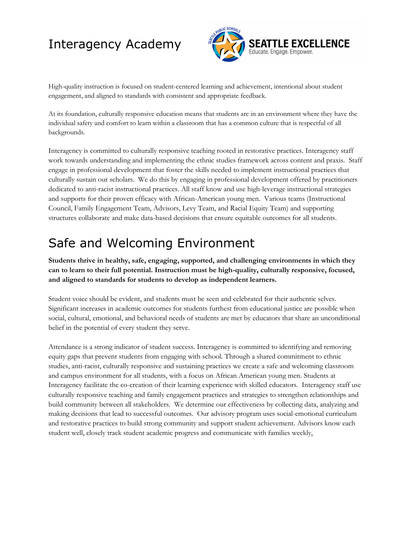

High-quality instruction is focused on student-centered learning and achievement, intentional about student engagement, and aligned to standards with consistent and appropriate feedback.

At its foundation, culturally responsive education means that students are in an environment where they have the individual safety and comfort to learn within a classroom that has a common culture that is respectful of all backgrounds.

Interagency is committed to culturally responsive teaching rooted in restorative practices. Interagency staff work towards understanding and implementing the ethnic studies framework across content and praxis. Staff engage in professional development that foster the skills needed to implement instructional practices that culturally sustain our scholars. We do this by engaging in professional development offered by practitioners dedicated to anti-racist instructional practices. All staff know and use high-leverage instructional strategies and supports for their proven efficacy with African-American young men. Various teams (Instructional Council, Family Engagement Team, Advisors, Levy Team, and Racial Equity Team) and supporting structures collaborate and make data-based decisions that ensure equitable outcomes for all students.

### Safe and Welcoming Environment

**Students thrive in healthy, safe, engaging, supported, and challenging environments in which they can to learn to their full potential. Instruction must be high-quality, culturally responsive, focused, and aligned to standards for students to develop as independent learners.**

Student voice should be evident, and students must be seen and celebrated for their authentic selves. Significant increases in academic outcomes for students furthest from educational justice are possible when social, cultural, emotional, and behavioral needs of students are met by educators that share an unconditional belief in the potential of every student they serve.

Attendance is a strong indicator of student success. Interagency is committed to identifying and removing equity gaps that prevent students from engaging with school. Through a shared commitment to ethnic studies, anti-racist, culturally responsive and sustaining practices we create a safe and welcoming classroom and campus environment for all students, with a focus on African American young men. Students at Interagency facilitate the co-creation of their learning experience with skilled educators. Interagency staff use culturally responsive teaching and family engagement practices and strategies to strengthen relationships and build community between all stakeholders. We determine our effectiveness by collecting data, analyzing and making decisions that lead to successful outcomes. Our advisory program uses social-emotional curriculum and restorative practices to build strong community and support student achievement. Advisors know each student well, closely track student academic progress and communicate with families weekly.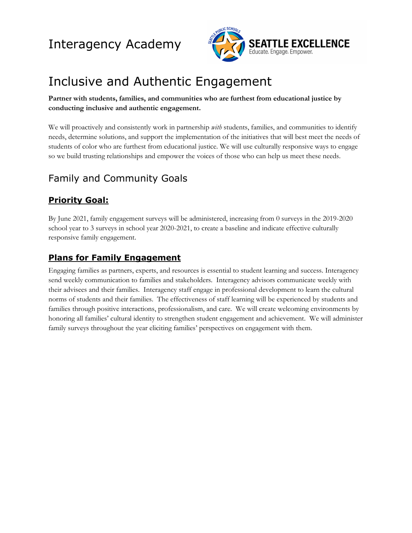

## Inclusive and Authentic Engagement

#### **Partner with students, families, and communities who are furthest from educational justice by conducting inclusive and authentic engagement.**

We will proactively and consistently work in partnership *with* students, families, and communities to identify needs, determine solutions, and support the implementation of the initiatives that will best meet the needs of students of color who are furthest from educational justice. We will use culturally responsive ways to engage so we build trusting relationships and empower the voices of those who can help us meet these needs.

### Family and Community Goals

#### **Priority Goal:**

By June 2021, family engagement surveys will be administered, increasing from 0 surveys in the 2019-2020 school year to 3 surveys in school year 2020-2021, to create a baseline and indicate effective culturally responsive family engagement.

#### **Plans for Family Engagement**

Engaging families as partners, experts, and resources is essential to student learning and success. Interagency send weekly communication to families and stakeholders. Interagency advisors communicate weekly with their advisees and their families. Interagency staff engage in professional development to learn the cultural norms of students and their families. The effectiveness of staff learning will be experienced by students and families through positive interactions, professionalism, and care. We will create welcoming environments by honoring all families' cultural identity to strengthen student engagement and achievement. We will administer family surveys throughout the year eliciting families' perspectives on engagement with them.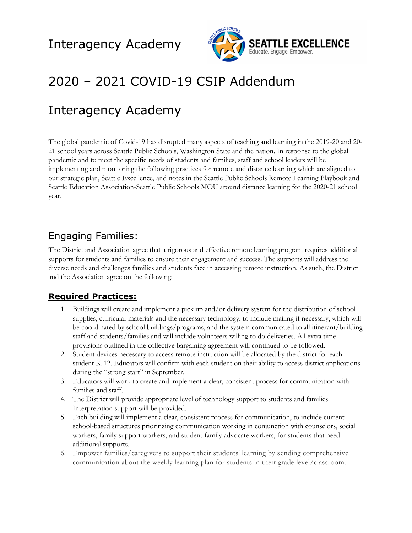

### 2020 – 2021 COVID-19 CSIP Addendum

### Interagency Academy

The global pandemic of Covid-19 has disrupted many aspects of teaching and learning in the 2019-20 and 20- 21 school years across Seattle Public Schools, Washington State and the nation. In response to the global pandemic and to meet the specific needs of students and families, staff and school leaders will be implementing and monitoring the following practices for remote and distance learning which are aligned to our strategic plan, Seattle Excellence, and notes in the Seattle Public Schools Remote Learning Playbook and Seattle Education Association-Seattle Public Schools MOU around distance learning for the 2020-21 school year.

#### Engaging Families:

The District and Association agree that a rigorous and effective remote learning program requires additional supports for students and families to ensure their engagement and success. The supports will address the diverse needs and challenges families and students face in accessing remote instruction. As such, the District and the Association agree on the following:

#### **Required Practices:**

- 1. Buildings will create and implement a pick up and/or delivery system for the distribution of school supplies, curricular materials and the necessary technology, to include mailing if necessary, which will be coordinated by school buildings/programs, and the system communicated to all itinerant/building staff and students/families and will include volunteers willing to do deliveries. All extra time provisions outlined in the collective bargaining agreement will continued to be followed.
- 2. Student devices necessary to access remote instruction will be allocated by the district for each student K-12. Educators will confirm with each student on their ability to access district applications during the "strong start" in September.
- 3. Educators will work to create and implement a clear, consistent process for communication with families and staff.
- 4. The District will provide appropriate level of technology support to students and families. Interpretation support will be provided.
- 5. Each building will implement a clear, consistent process for communication, to include current school-based structures prioritizing communication working in conjunction with counselors, social workers, family support workers, and student family advocate workers, for students that need additional supports.
- 6. Empower families/caregivers to support their students' learning by sending comprehensive communication about the weekly learning plan for students in their grade level/classroom.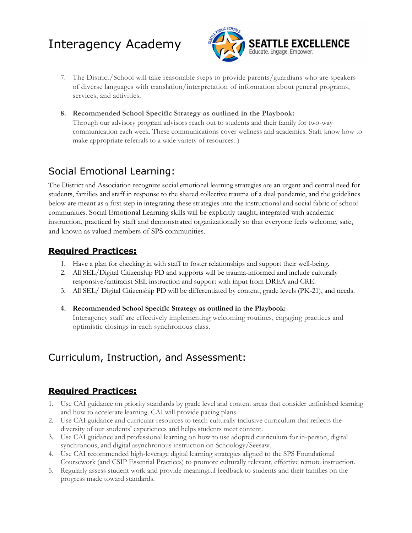

- 7. The District/School will take reasonable steps to provide parents/guardians who are speakers of diverse languages with translation/interpretation of information about general programs, services, and activities.
- **8. Recommended School Specific Strategy as outlined in the Playbook:** Through our advisory program advisors reach out to students and their family for two-way communication each week. These communications cover wellness and academics. Staff know how to make appropriate referrals to a wide variety of resources. **)**

### Social Emotional Learning:

The District and Association recognize social emotional learning strategies are an urgent and central need for students, families and staff in response to the shared collective trauma of a dual pandemic, and the guidelines below are meant as a first step in integrating these strategies into the instructional and social fabric of school communities. Social Emotional Learning skills will be explicitly taught, integrated with academic instruction, practiced by staff and demonstrated organizationally so that everyone feels welcome, safe, and known as valued members of SPS communities.

#### **Required Practices:**

- 1. Have a plan for checking in with staff to foster relationships and support their well-being.
- 2. All SEL/Digital Citizenship PD and supports will be trauma-informed and include culturally responsive/antiracist SEL instruction and support with input from DREA and CRE.
- 3. All SEL/ Digital Citizenship PD will be differentiated by content, grade levels (PK-21), and needs.

#### **4. Recommended School Specific Strategy as outlined in the Playbook:**

Interagency staff are effectively implementing welcoming routines, engaging practices and optimistic closings in each synchronous class.

#### Curriculum, Instruction, and Assessment:

#### **Required Practices:**

- 1. Use CAI guidance on priority standards by grade level and content areas that consider unfinished learning and how to accelerate learning. CAI will provide pacing plans.
- 2. Use CAI guidance and curricular resources to teach culturally inclusive curriculum that reflects the diversity of our students' experiences and helps students meet content.
- 3. Use CAI guidance and professional learning on how to use adopted curriculum for in-person, digital synchronous, and digital asynchronous instruction on Schoology/Seesaw.
- 4. Use CAI recommended high-leverage digital learning strategies aligned to the SPS Foundational Coursework (and CSIP Essential Practices) to promote culturally relevant, effective remote instruction.
- 5. Regularly assess student work and provide meaningful feedback to students and their families on the progress made toward standards.